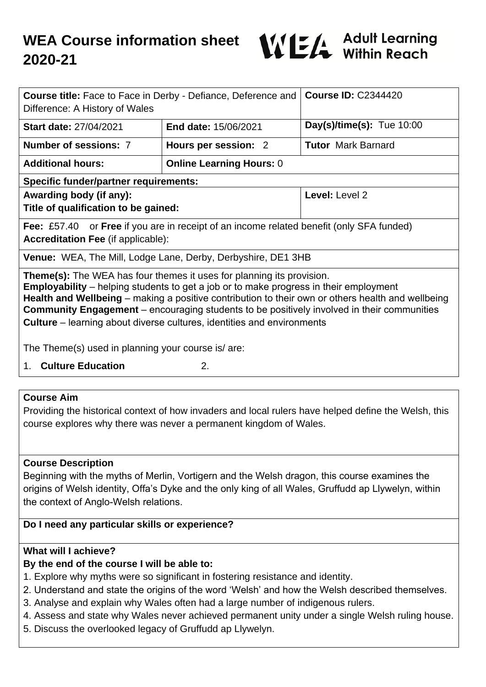

| <b>Course title:</b> Face to Face in Derby - Defiance, Deference and<br>Difference: A History of Wales                                                                                                                                                                                                                                                                                                                                                                  |                             | <b>Course ID: C2344420</b>  |
|-------------------------------------------------------------------------------------------------------------------------------------------------------------------------------------------------------------------------------------------------------------------------------------------------------------------------------------------------------------------------------------------------------------------------------------------------------------------------|-----------------------------|-----------------------------|
| <b>Start date: 27/04/2021</b>                                                                                                                                                                                                                                                                                                                                                                                                                                           | <b>End date: 15/06/2021</b> | Day(s)/time(s): Tue $10:00$ |
| Number of sessions: 7                                                                                                                                                                                                                                                                                                                                                                                                                                                   | Hours per session: 2        | <b>Tutor Mark Barnard</b>   |
| <b>Online Learning Hours: 0</b><br><b>Additional hours:</b>                                                                                                                                                                                                                                                                                                                                                                                                             |                             |                             |
| <b>Specific funder/partner requirements:</b>                                                                                                                                                                                                                                                                                                                                                                                                                            |                             |                             |
| Awarding body (if any):<br>Title of qualification to be gained:                                                                                                                                                                                                                                                                                                                                                                                                         |                             | Level: Level 2              |
| <b>Fee:</b> £57.40 or <b>Free</b> if you are in receipt of an income related benefit (only SFA funded)<br><b>Accreditation Fee (if applicable):</b>                                                                                                                                                                                                                                                                                                                     |                             |                             |
| <b>Venue:</b> WEA, The Mill, Lodge Lane, Derby, Derbyshire, DE1 3HB                                                                                                                                                                                                                                                                                                                                                                                                     |                             |                             |
| <b>Theme(s):</b> The WEA has four themes it uses for planning its provision.<br><b>Employability</b> – helping students to get a job or to make progress in their employment<br>Health and Wellbeing - making a positive contribution to their own or others health and wellbeing<br><b>Community Engagement</b> – encouraging students to be positively involved in their communities<br><b>Culture</b> – learning about diverse cultures, identities and environments |                             |                             |

The Theme(s) used in planning your course is/ are:

1. **Culture Education** 2.

## **Course Aim**

Providing the historical context of how invaders and local rulers have helped define the Welsh, this course explores why there was never a permanent kingdom of Wales.

#### **Course Description**

Beginning with the myths of Merlin, Vortigern and the Welsh dragon, this course examines the origins of Welsh identity, Offa's Dyke and the only king of all Wales, Gruffudd ap Llywelyn, within the context of Anglo-Welsh relations.

## **Do I need any particular skills or experience?**

#### **What will I achieve?**

# **By the end of the course I will be able to:**

- 1. Explore why myths were so significant in fostering resistance and identity.
- 2. Understand and state the origins of the word 'Welsh' and how the Welsh described themselves.
- 3. Analyse and explain why Wales often had a large number of indigenous rulers.
- 4. Assess and state why Wales never achieved permanent unity under a single Welsh ruling house.
- 5. Discuss the overlooked legacy of Gruffudd ap Llywelyn.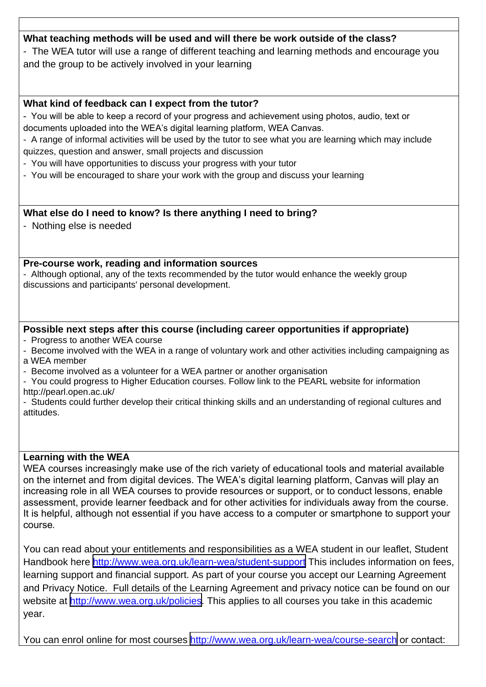## **What teaching methods will be used and will there be work outside of the class?**

- The WEA tutor will use a range of different teaching and learning methods and encourage you and the group to be actively involved in your learning

### **What kind of feedback can I expect from the tutor?**

- You will be able to keep a record of your progress and achievement using photos, audio, text or documents uploaded into the WEA's digital learning platform, WEA Canvas.

- A range of informal activities will be used by the tutor to see what you are learning which may include quizzes, question and answer, small projects and discussion

- You will have opportunities to discuss your progress with your tutor

- You will be encouraged to share your work with the group and discuss your learning

#### **What else do I need to know? Is there anything I need to bring?**

- Nothing else is needed

#### **Pre-course work, reading and information sources**

- Although optional, any of the texts recommended by the tutor would enhance the weekly group discussions and participants' personal development.

## **Possible next steps after this course (including career opportunities if appropriate)**

- Progress to another WEA course

- Become involved with the WEA in a range of voluntary work and other activities including campaigning as a WEA member

- Become involved as a volunteer for a WEA partner or another organisation

- You could progress to Higher Education courses. Follow link to the PEARL website for information http://pearl.open.ac.uk/

- Students could further develop their critical thinking skills and an understanding of regional cultures and attitudes.

#### **Learning with the WEA**

WEA courses increasingly make use of the rich variety of educational tools and material available on the internet and from digital devices. The WEA's digital learning platform, Canvas will play an increasing role in all WEA courses to provide resources or support, or to conduct lessons, enable assessment, provide learner feedback and for other activities for individuals away from the course. It is helpful, although not essential if you have access to a computer or smartphone to support your course*.*

You can read about your entitlements and responsibilities as a WEA student in our leaflet, Student Handbook here <http://www.wea.org.uk/learn-wea/student-support> This includes information on fees, learning support and financial support. As part of your course you accept our Learning Agreement and Privacy Notice. Full details of the Learning Agreement and privacy notice can be found on our website at <http://www.wea.org.uk/policies></u>. This applies to all courses you take in this academic year.

You can enrol online for most courses<http://www.wea.org.uk/learn-wea/course-search> or contact: